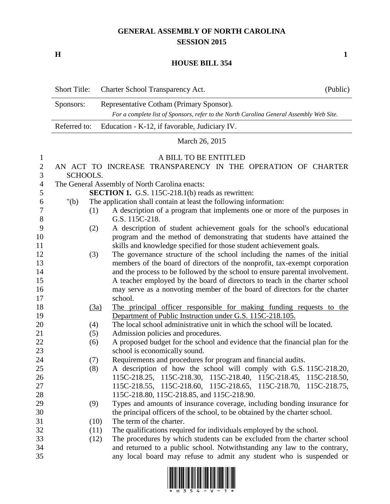## **GENERAL ASSEMBLY OF NORTH CAROLINA SESSION 2015**

**H 1**

## **HOUSE BILL 354**

|                | <b>Short Title:</b>                                         | Charter School Transparency Act.                                                                                                    | (Public) |  |  |  |
|----------------|-------------------------------------------------------------|-------------------------------------------------------------------------------------------------------------------------------------|----------|--|--|--|
|                | Sponsors:                                                   | Representative Cotham (Primary Sponsor).<br>For a complete list of Sponsors, refer to the North Carolina General Assembly Web Site. |          |  |  |  |
|                | Referred to:                                                | Education - K-12, if favorable, Judiciary IV.                                                                                       |          |  |  |  |
|                | March 26, 2015                                              |                                                                                                                                     |          |  |  |  |
| $\mathbf{1}$   |                                                             | A BILL TO BE ENTITLED                                                                                                               |          |  |  |  |
| $\mathbf{2}$   | AN ACT TO INCREASE TRANSPARENCY IN THE OPERATION OF CHARTER |                                                                                                                                     |          |  |  |  |
| 3              | SCHOOLS.                                                    |                                                                                                                                     |          |  |  |  |
| $\overline{4}$ | The General Assembly of North Carolina enacts:              |                                                                                                                                     |          |  |  |  |
| 5              |                                                             | <b>SECTION 1.</b> G.S. 115C-218.1(b) reads as rewritten:                                                                            |          |  |  |  |
| 6              | " $(b)$                                                     | The application shall contain at least the following information:                                                                   |          |  |  |  |
| 7<br>$8\,$     | (1)                                                         | A description of a program that implements one or more of the purposes in<br>G.S. 115C-218.                                         |          |  |  |  |
| 9              | (2)                                                         | A description of student achievement goals for the school's educational                                                             |          |  |  |  |
| 10             |                                                             | program and the method of demonstrating that students have attained the                                                             |          |  |  |  |
| 11             |                                                             | skills and knowledge specified for those student achievement goals.                                                                 |          |  |  |  |
| 12             | (3)                                                         | The governance structure of the school including the names of the initial                                                           |          |  |  |  |
| 13             |                                                             | members of the board of directors of the nonprofit, tax-exempt corporation                                                          |          |  |  |  |
| 14             |                                                             | and the process to be followed by the school to ensure parental involvement.                                                        |          |  |  |  |
| 15             |                                                             | A teacher employed by the board of directors to teach in the charter school                                                         |          |  |  |  |
| 16             |                                                             | may serve as a nonvoting member of the board of directors for the charter                                                           |          |  |  |  |
| 17             |                                                             | school.                                                                                                                             |          |  |  |  |
| 18             |                                                             | The principal officer responsible for making funding requests to the<br>(3a)                                                        |          |  |  |  |
| 19             |                                                             | Department of Public Instruction under G.S. 115C-218.105.                                                                           |          |  |  |  |
| 20             | (4)                                                         | The local school administrative unit in which the school will be located.                                                           |          |  |  |  |
| 21             | (5)                                                         | Admission policies and procedures.                                                                                                  |          |  |  |  |
| 22             | (6)                                                         | A proposed budget for the school and evidence that the financial plan for the                                                       |          |  |  |  |
| 23             |                                                             | school is economically sound.                                                                                                       |          |  |  |  |
| 24             | (7)                                                         | Requirements and procedures for program and financial audits.                                                                       |          |  |  |  |
| 25             | (8)                                                         | A description of how the school will comply with G.S. 115C-218.20,                                                                  |          |  |  |  |
| 26             |                                                             | 115C-218.25, 115C-218.30, 115C-218.40, 115C-218.45, 115C-218.50,                                                                    |          |  |  |  |
| 27             |                                                             | 115C-218.55, 115C-218.60, 115C-218.65, 115C-218.70, 115C-218.75,                                                                    |          |  |  |  |
| 28             |                                                             | 115C-218.80, 115C-218.85, and 115C-218.90.                                                                                          |          |  |  |  |
| 29             | (9)                                                         | Types and amounts of insurance coverage, including bonding insurance for                                                            |          |  |  |  |
| 30             |                                                             | the principal officers of the school, to be obtained by the charter school.                                                         |          |  |  |  |
| 31             |                                                             | The term of the charter.<br>(10)                                                                                                    |          |  |  |  |
| 32             |                                                             | The qualifications required for individuals employed by the school.<br>(11)                                                         |          |  |  |  |
| 33             |                                                             | The procedures by which students can be excluded from the charter school<br>(12)                                                    |          |  |  |  |
| 34             |                                                             | and returned to a public school. Notwithstanding any law to the contrary,                                                           |          |  |  |  |
| 35             |                                                             | any local board may refuse to admit any student who is suspended or                                                                 |          |  |  |  |

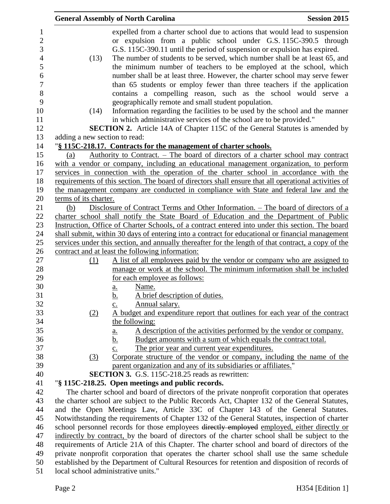|                               | <b>General Assembly of North Carolina</b>                                                                                                                                                                                                                                                                                                                                                                                            | <b>Session 2015</b> |
|-------------------------------|--------------------------------------------------------------------------------------------------------------------------------------------------------------------------------------------------------------------------------------------------------------------------------------------------------------------------------------------------------------------------------------------------------------------------------------|---------------------|
|                               | expelled from a charter school due to actions that would lead to suspension<br>or expulsion from a public school under G.S. 115C-390.5 through<br>G.S. 115C-390.11 until the period of suspension or expulsion has expired.                                                                                                                                                                                                          |                     |
| (13)                          | The number of students to be served, which number shall be at least 65, and<br>the minimum number of teachers to be employed at the school, which<br>number shall be at least three. However, the charter school may serve fewer<br>than 65 students or employ fewer than three teachers if the application<br>contains a compelling reason, such as the school would serve a<br>geographically remote and small student population. |                     |
| (14)                          | Information regarding the facilities to be used by the school and the manner<br>in which administrative services of the school are to be provided."                                                                                                                                                                                                                                                                                  |                     |
|                               | <b>SECTION 2.</b> Article 14A of Chapter 115C of the General Statutes is amended by                                                                                                                                                                                                                                                                                                                                                  |                     |
| adding a new section to read: |                                                                                                                                                                                                                                                                                                                                                                                                                                      |                     |
|                               | "§ 115C-218.17. Contracts for the management of charter schools.                                                                                                                                                                                                                                                                                                                                                                     |                     |
| (a)                           | Authority to Contract. - The board of directors of a charter school may contract                                                                                                                                                                                                                                                                                                                                                     |                     |
|                               | with a vendor or company, including an educational management organization, to perform                                                                                                                                                                                                                                                                                                                                               |                     |
|                               | services in connection with the operation of the charter school in accordance with the                                                                                                                                                                                                                                                                                                                                               |                     |
|                               | requirements of this section. The board of directors shall ensure that all operational activities of                                                                                                                                                                                                                                                                                                                                 |                     |
|                               | the management company are conducted in compliance with State and federal law and the                                                                                                                                                                                                                                                                                                                                                |                     |
| terms of its charter.         |                                                                                                                                                                                                                                                                                                                                                                                                                                      |                     |
| (b)                           | Disclosure of Contract Terms and Other Information. – The board of directors of a                                                                                                                                                                                                                                                                                                                                                    |                     |
|                               | charter school shall notify the State Board of Education and the Department of Public                                                                                                                                                                                                                                                                                                                                                |                     |
|                               | Instruction, Office of Charter Schools, of a contract entered into under this section. The board                                                                                                                                                                                                                                                                                                                                     |                     |
|                               | shall submit, within 30 days of entering into a contract for educational or financial management                                                                                                                                                                                                                                                                                                                                     |                     |
|                               | services under this section, and annually thereafter for the length of that contract, a copy of the                                                                                                                                                                                                                                                                                                                                  |                     |
|                               | contract and at least the following information:                                                                                                                                                                                                                                                                                                                                                                                     |                     |
| (1)                           | A list of all employees paid by the vendor or company who are assigned to                                                                                                                                                                                                                                                                                                                                                            |                     |
|                               | manage or work at the school. The minimum information shall be included                                                                                                                                                                                                                                                                                                                                                              |                     |
|                               | for each employee as follows:                                                                                                                                                                                                                                                                                                                                                                                                        |                     |
|                               | Name.<br>a.                                                                                                                                                                                                                                                                                                                                                                                                                          |                     |
|                               | A brief description of duties.<br><u>b.</u>                                                                                                                                                                                                                                                                                                                                                                                          |                     |
|                               | Annual salary.<br>$\underline{c}$ .                                                                                                                                                                                                                                                                                                                                                                                                  |                     |
| (2)                           | A budget and expenditure report that outlines for each year of the contract                                                                                                                                                                                                                                                                                                                                                          |                     |
|                               | the following:                                                                                                                                                                                                                                                                                                                                                                                                                       |                     |
|                               | A description of the activities performed by the vendor or company.<br><u>a.</u>                                                                                                                                                                                                                                                                                                                                                     |                     |
|                               | Budget amounts with a sum of which equals the contract total.<br><u>b.</u>                                                                                                                                                                                                                                                                                                                                                           |                     |
|                               | The prior year and current year expenditures.<br>$\underline{c}$ .                                                                                                                                                                                                                                                                                                                                                                   |                     |
| (3)                           | Corporate structure of the vendor or company, including the name of the                                                                                                                                                                                                                                                                                                                                                              |                     |
|                               | parent organization and any of its subsidiaries or affiliates."                                                                                                                                                                                                                                                                                                                                                                      |                     |
|                               | <b>SECTION 3.</b> G.S. 115C-218.25 reads as rewritten:                                                                                                                                                                                                                                                                                                                                                                               |                     |
|                               | "§ 115C-218.25. Open meetings and public records.                                                                                                                                                                                                                                                                                                                                                                                    |                     |
|                               | The charter school and board of directors of the private nonprofit corporation that operates                                                                                                                                                                                                                                                                                                                                         |                     |
|                               | the charter school are subject to the Public Records Act, Chapter 132 of the General Statutes,                                                                                                                                                                                                                                                                                                                                       |                     |
|                               | and the Open Meetings Law, Article 33C of Chapter 143 of the General Statutes.<br>Notwithstanding the requirements of Chapter 132 of the General Statutes, inspection of charter                                                                                                                                                                                                                                                     |                     |
|                               | school personnel records for those employees directly employed employed, either directly or                                                                                                                                                                                                                                                                                                                                          |                     |
|                               | indirectly by contract, by the board of directors of the charter school shall be subject to the                                                                                                                                                                                                                                                                                                                                      |                     |
|                               | requirements of Article 21A of this Chapter. The charter school and board of directors of the                                                                                                                                                                                                                                                                                                                                        |                     |
|                               |                                                                                                                                                                                                                                                                                                                                                                                                                                      |                     |
|                               | private nonprofit corporation that operates the charter school shall use the same schedule<br>established by the Department of Cultural Resources for retention and disposition of records of                                                                                                                                                                                                                                        |                     |
|                               | local school administrative units."                                                                                                                                                                                                                                                                                                                                                                                                  |                     |
|                               |                                                                                                                                                                                                                                                                                                                                                                                                                                      |                     |